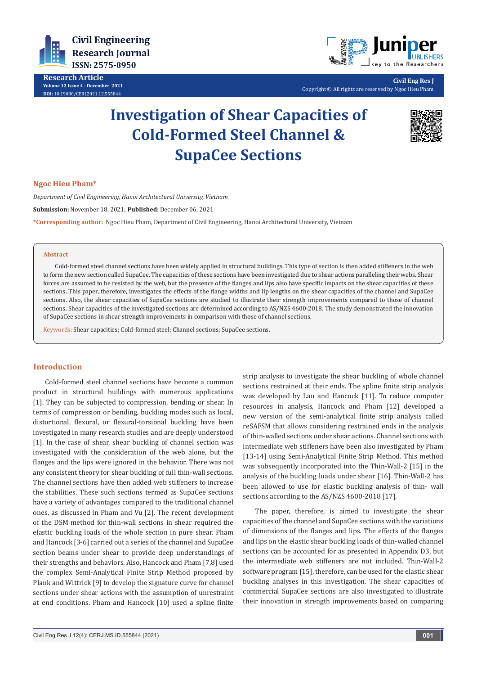

**Research Article Volume 12 Issue 4 - December 2021 DOI:** [10.19080/CERJ.2021.12.55584](http://dx.doi.org/10.19080/CERJ.2021.12.555844)4



**Civil Eng Res J** Copyright © All rights are reserved by Ngoc Hieu Pham

# **Investigation of Shear Capacities of Cold-Formed Steel Channel & SupaCee Sections**



### **Ngoc Hieu Pham\***

*Department of Civil Engineering, Hanoi Architectural University, Vietnam*

**Submission:** November 18, 2021; **Published:** December 06, 2021

**\*Corresponding author:** Ngoc Hieu Pham, Department of Civil Engineering, Hanoi Architectural University, Vietnam

#### **Abstract**

Cold-formed steel channel sections have been widely applied in structural buildings. This type of section is then added stiffeners in the web to form the new section called SupaCee. The capacities of these sections have been investigated due to shear actions paralleling their webs. Shear forces are assumed to be resisted by the web, but the presence of the flanges and lips also have specific impacts on the shear capacities of these sections. This paper, therefore, investigates the effects of the flange widths and lip lengths on the shear capacities of the channel and SupaCee sections. Also, the shear capacities of SupaCee sections are studied to illustrate their strength improvements compared to those of channel sections. Shear capacities of the investigated sections are determined according to AS/NZS 4600:2018. The study demonstrated the innovation of SupaCee sections in shear strength improvements in comparison with those of channel sections.

Keywords: Shear capacities; Cold-formed steel; Channel sections; SupaCee sections.

### **Introduction**

Cold-formed steel channel sections have become a common product in structural buildings with numerous applications [1]. They can be subjected to compression, bending or shear. In terms of compression or bending, buckling modes such as local, distortional, flexural, or flexural-torsional buckling have been investigated in many research studies and are deeply understood [1]. In the case of shear, shear buckling of channel section was investigated with the consideration of the web alone, but the flanges and the lips were ignored in the behavior. There was not any consistent theory for shear buckling of full thin-wall sections. The channel sections have then added web stiffeners to increase the stabilities. These such sections termed as SupaCee sections have a variety of advantages compared to the traditional channel ones, as discussed in Pham and Vu [2]. The recent development of the DSM method for thin-wall sections in shear required the elastic buckling loads of the whole section in pure shear. Pham and Hancock [3-6] carried out a series of the channel and SupaCee section beams under shear to provide deep understandings of their strengths and behaviors. Also, Hancock and Pham [7,8] used the complex Semi-Analytical Finite Strip Method proposed by Plank and Wittrick [9] to develop the signature curve for channel sections under shear actions with the assumption of unrestraint at end conditions. Pham and Hancock [10] used a spline finite

strip analysis to investigate the shear buckling of whole channel sections restrained at their ends. The spline finite strip analysis was developed by Lau and Hancock [11]. To reduce computer resources in analysis, Hancock and Pham [12] developed a new version of the semi-analytical finite strip analysis called reSAFSM that allows considering restrained ends in the analysis of thin-walled sections under shear actions. Channel sections with intermediate web stiffeners have been also investigated by Pham [13-14] using Semi-Analytical Finite Strip Method. This method was subsequently incorporated into the Thin-Wall-2 [15] in the analysis of the buckling loads under shear [16]. Thin-Wall-2 has been allowed to use for elastic buckling analysis of thin- wall sections according to the AS/NZS 4600-2018 [17].

The paper, therefore, is aimed to investigate the shear capacities of the channel and SupaCee sections with the variations of dimensions of the flanges and lips. The effects of the flanges and lips on the elastic shear buckling loads of thin-walled channel sections can be accounted for as presented in Appendix D3, but the intermediate web stiffeners are not included. Thin-Wall-2 software program [15], therefore, can be used for the elastic shear buckling analyses in this investigation. The shear capacities of commercial SupaCee sections are also investigated to illustrate their innovation in strength improvements based on comparing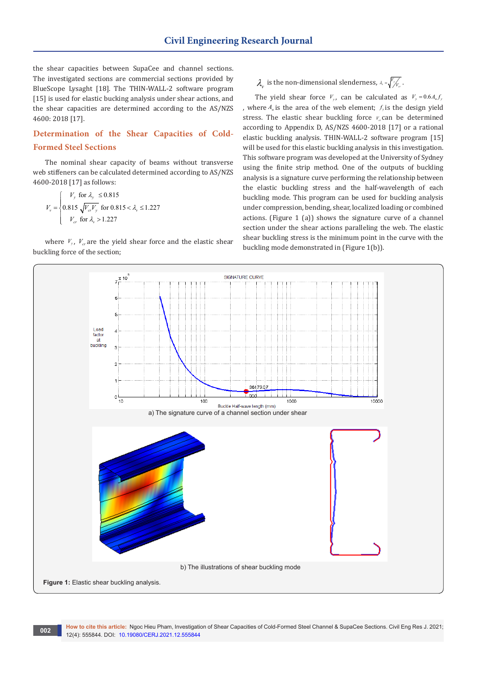the shear capacities between SupaCee and channel sections. The investigated sections are commercial sections provided by BlueScope Lysaght [18]. The THIN-WALL-2 software program [15] is used for elastic bucking analysis under shear actions, and the shear capacities are determined according to the AS/NZS 4600: 2018 [17].

### **Determination of the Shear Capacities of Cold-Formed Steel Sections**

The nominal shear capacity of beams without transverse web stiffeners can be calculated determined according to AS/NZS 4600-2018 [17] as follows:

$$
V_{\rm v} = \begin{cases} V_{\rm y} & \text{for } \lambda_{\rm y} \le 0.815 \\ 0.815 \sqrt{V_{\rm cr} V_{\rm y}} & \text{for } 0.815 < \lambda_{\rm v} \le 1.227 \\ V_{\rm cr} & \text{for } \lambda_{\rm v} > 1.227 \end{cases}
$$

where  $V_y$ ,  $V_x$  are the yield shear force and the elastic shear buckling force of the section;

 $\lambda_{\nu}$  is the non-dimensional slenderness,  $\lambda_{\nu} = \sqrt{\frac{V_{\nu}}{V_{cr}}}\lambda_{\nu}$ .

The yield shear force  $V_y$ , can be calculated as  $V_y = 0.6 A_y f_y$ , where  $A_w$  is the area of the web element;  $f_y$  is the design yield stress. The elastic shear buckling force  $V<sub>c</sub>$  can be determined according to Appendix D, AS/NZS 4600-2018 [17] or a rational elastic buckling analysis. THIN-WALL-2 software program [15] will be used for this elastic buckling analysis in this investigation. This software program was developed at the University of Sydney using the finite strip method. One of the outputs of buckling analysis is a signature curve performing the relationship between the elastic buckling stress and the half-wavelength of each buckling mode. This program can be used for buckling analysis under compression, bending, shear, localized loading or combined actions. (Figure 1 (a)) shows the signature curve of a channel section under the shear actions paralleling the web. The elastic shear buckling stress is the minimum point in the curve with the buckling mode demonstrated in (Figure 1(b)).

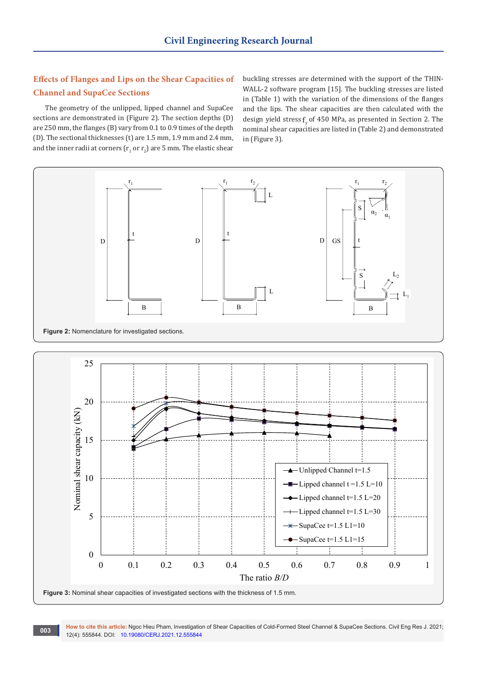## **Effects of Flanges and Lips on the Shear Capacities of Channel and SupaCee Sections**

The geometry of the unlipped, lipped channel and SupaCee sections are demonstrated in (Figure 2). The section depths (D) are 250 mm, the flanges (B) vary from 0.1 to 0.9 times of the depth (D). The sectional thicknesses (t) are 1.5 mm, 1.9 mm and 2.4 mm, and the inner radii at corners ( $\rm r^{}_1$  or  $\rm r^{}_2$ ) are 5 mm. The elastic shear buckling stresses are determined with the support of the THIN-WALL-2 software program [15]. The buckling stresses are listed in (Table 1) with the variation of the dimensions of the flanges and the lips. The shear capacities are then calculated with the design yield stress  $f$  of 450 MPa, as presented in Section 2. The nominal shear capacities are listed in (Table 2) and demonstrated in (Figure 3).



How to cite this article: Ngoc Hieu Pham, Investigation of Shear Capacities of Cold-Formed Steel Channel & SupaCee Sections. Civil Eng Res J. 2021; **12(4): 555844. DOI: [10.19080/CERJ.2021.12.55584](http://dx.doi.org/10.19080/CERJ.2021.12.555844)4**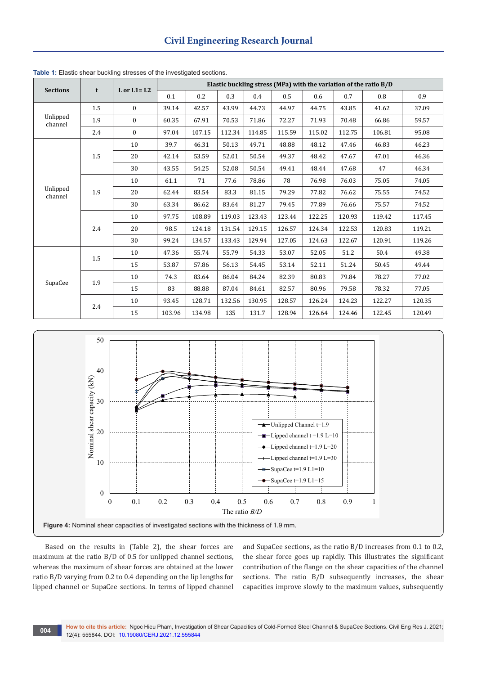| <b>Sections</b>     |     | $L$ or $L1 = L2$ | Elastic buckling stress (MPa) with the variation of the ratio B/D |        |        |        |        |        |                                                                                                                                |        |        |
|---------------------|-----|------------------|-------------------------------------------------------------------|--------|--------|--------|--------|--------|--------------------------------------------------------------------------------------------------------------------------------|--------|--------|
|                     | t   |                  | 0.1                                                               | 0.2    | 0.3    | 0.4    | 0.5    | 0.6    | 0.7                                                                                                                            | 0.8    | 0.9    |
|                     | 1.5 | $\mathbf{0}$     | 39.14                                                             | 42.57  | 43.99  | 44.73  | 44.97  | 44.75  | 43.85                                                                                                                          | 41.62  | 37.09  |
| Unlipped<br>channel | 1.9 | $\mathbf{0}$     | 60.35                                                             | 67.91  | 70.53  | 71.86  | 72.27  | 71.93  | 70.48                                                                                                                          | 66.86  | 59.57  |
|                     | 2.4 | $\mathbf{0}$     | 97.04                                                             | 107.15 | 112.34 | 114.85 | 115.59 | 115.02 | 112.75                                                                                                                         | 106.81 | 95.08  |
|                     |     | 10               | 39.7                                                              | 46.31  | 50.13  | 49.71  | 48.88  | 48.12  | 47.46                                                                                                                          | 46.83  | 46.23  |
|                     | 1.5 | 20               | 42.14                                                             | 53.59  | 52.01  | 50.54  | 49.37  | 48.42  | 47.67                                                                                                                          | 47.01  | 46.36  |
|                     |     | 30               | 43.55                                                             | 54.25  | 52.08  | 50.54  | 49.41  | 48.44  | 47.68                                                                                                                          | 47     | 46.34  |
| Unlipped<br>channel |     | 10               | 61.1                                                              | 71     | 77.6   | 78.86  | 78     | 76.98  | 76.03                                                                                                                          | 75.05  | 74.05  |
|                     | 1.9 | 20               | 62.44                                                             | 83.54  | 83.3   | 81.15  | 79.29  | 77.82  | 76.62                                                                                                                          | 75.55  | 74.52  |
|                     |     | 30               | 63.34                                                             | 86.62  | 83.64  | 81.27  | 79.45  | 77.89  | 76.66                                                                                                                          | 75.57  | 74.52  |
|                     | 2.4 | 10               | 97.75                                                             | 108.89 | 119.03 | 123.43 | 123.44 | 122.25 | 120.93                                                                                                                         | 119.42 | 117.45 |
|                     |     | 20               | 98.5                                                              | 124.18 | 131.54 | 129.15 | 126.57 | 124.34 | 122.53                                                                                                                         | 120.83 | 119.21 |
|                     |     | 30               | 99.24                                                             | 134.57 | 133.43 | 129.94 | 127.05 | 124.63 | 122.67<br>120.91<br>51.2<br>50.4<br>51.24<br>50.45<br>79.84<br>78.27<br>79.58<br>78.32<br>124.23<br>122.27<br>124.46<br>122.45 | 119.26 |        |
|                     |     | 10               | 47.36                                                             | 55.74  | 55.79  | 54.33  | 53.07  | 52.05  |                                                                                                                                |        | 49.38  |
| SupaCee             | 1.5 | 15               | 53.87                                                             | 57.86  | 56.13  | 54.45  | 53.14  | 52.11  |                                                                                                                                | 49.44  |        |
|                     | 1.9 | 10               | 74.3                                                              | 83.64  | 86.04  | 84.24  | 82.39  | 80.83  |                                                                                                                                |        | 77.02  |
|                     |     | 15               | 83                                                                | 88.88  | 87.04  | 84.61  | 82.57  | 80.96  |                                                                                                                                |        | 77.05  |
|                     |     | 10               | 93.45                                                             | 128.71 | 132.56 | 130.95 | 128.57 | 126.24 |                                                                                                                                |        | 120.35 |
|                     | 2.4 | 15               | 103.96                                                            | 134.98 | 135    | 131.7  | 128.94 | 126.64 |                                                                                                                                |        | 120.49 |

**Table 1:** Elastic shear buckling stresses of the investigated sections.



Based on the results in (Table 2), the shear forces are maximum at the ratio B/D of 0.5 for unlipped channel sections, whereas the maximum of shear forces are obtained at the lower ratio B/D varying from 0.2 to 0.4 depending on the lip lengths for lipped channel or SupaCee sections. In terms of lipped channel

and SupaCee sections, as the ratio B/D increases from 0.1 to 0.2, the shear force goes up rapidly. This illustrates the significant contribution of the flange on the shear capacities of the channel sections. The ratio B/D subsequently increases, the shear capacities improve slowly to the maximum values, subsequently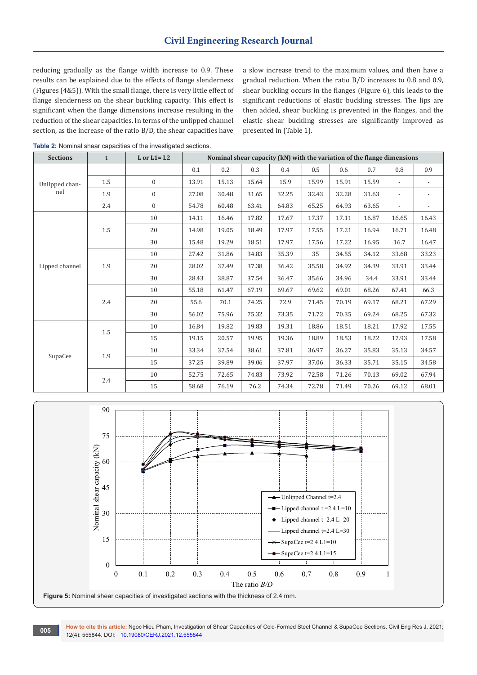reducing gradually as the flange width increase to 0.9. These results can be explained due to the effects of flange slenderness (Figures (4&5)). With the small flange, there is very little effect of flange slenderness on the shear buckling capacity. This effect is significant when the flange dimensions increase resulting in the reduction of the shear capacities. In terms of the unlipped channel section, as the increase of the ratio B/D, the shear capacities have

a slow increase trend to the maximum values, and then have a gradual reduction. When the ratio B/D increases to 0.8 and 0.9, shear buckling occurs in the flanges (Figure 6), this leads to the significant reductions of elastic buckling stresses. The lips are then added, shear buckling is prevented in the flanges, and the elastic shear buckling stresses are significantly improved as presented in (Table 1).

| <b>Sections</b> | t   | $L$ or $L1 = L2$ |       |         |       | Nominal shear capacity (kN) with the variation of the flange dimensions |         |       |       |                          |                          |
|-----------------|-----|------------------|-------|---------|-------|-------------------------------------------------------------------------|---------|-------|-------|--------------------------|--------------------------|
|                 |     |                  | 0.1   | $0.2\,$ | 0.3   | 0.4                                                                     | $0.5\,$ | 0.6   | 0.7   | 0.8                      | 0.9                      |
| Unlipped chan-  | 1.5 | $\overline{0}$   | 13.91 | 15.13   | 15.64 | 15.9                                                                    | 15.99   | 15.91 | 15.59 | $\blacksquare$           | $\overline{\phantom{a}}$ |
| nel             | 1.9 | $\mathbf{0}$     | 27.08 | 30.48   | 31.65 | 32.25                                                                   | 32.43   | 32.28 | 31.63 |                          | $\overline{\phantom{a}}$ |
|                 | 2.4 | $\overline{0}$   | 54.78 | 60.48   | 63.41 | 64.83                                                                   | 65.25   | 64.93 | 63.65 | $\overline{\phantom{a}}$ | $\overline{\phantom{a}}$ |
|                 |     | 10               | 14.11 | 16.46   | 17.82 | 17.67                                                                   | 17.37   | 17.11 | 16.87 | 16.65                    | 16.43                    |
|                 | 1.5 | 20               | 14.98 | 19.05   | 18.49 | 17.97                                                                   | 17.55   | 17.21 | 16.94 | 16.71                    | 16.48                    |
|                 |     | 30               | 15.48 | 19.29   | 18.51 | 17.97                                                                   | 17.56   | 17.22 | 16.95 | 16.7                     | 16.47                    |
|                 |     | 10               | 27.42 | 31.86   | 34.83 | 35.39                                                                   | 35      | 34.55 | 34.12 | 33.68                    | 33.23                    |
| Lipped channel  | 1.9 | 20               | 28.02 | 37.49   | 37.38 | 36.42                                                                   | 35.58   | 34.92 | 34.39 | 33.91                    | 33.44                    |
|                 |     | 30               | 28.43 | 38.87   | 37.54 | 36.47                                                                   | 35.66   | 34.96 | 34.4  | 33.91                    | 33.44                    |
|                 | 2.4 | 10               | 55.18 | 61.47   | 67.19 | 69.67                                                                   | 69.62   | 69.01 | 68.26 | 67.41                    | 66.3                     |
|                 |     | 20               | 55.6  | 70.1    | 74.25 | 72.9                                                                    | 71.45   | 70.19 | 69.17 | 68.21                    | 67.29                    |
|                 |     | 30               | 56.02 | 75.96   | 75.32 | 73.35                                                                   | 71.72   | 70.35 | 69.24 | 68.25                    | 67.32                    |
|                 | 1.5 | 10               | 16.84 | 19.82   | 19.83 | 19.31                                                                   | 18.86   | 18.51 | 18.21 | 17.92                    | 17.55                    |
|                 |     | 15               | 19.15 | 20.57   | 19.95 | 19.36                                                                   | 18.89   | 18.53 | 18.22 | 17.93                    | 17.58                    |
| SupaCee         | 1.9 | 10               | 33.34 | 37.54   | 38.61 | 37.81                                                                   | 36.97   | 36.27 | 35.83 | 35.13                    | 34.57                    |
|                 |     | 15               | 37.25 | 39.89   | 39.06 | 37.97                                                                   | 37.06   | 36.33 | 35.71 | 35.15                    | 34.58                    |
|                 |     | 10               | 52.75 | 72.65   | 74.83 | 73.92                                                                   | 72.58   | 71.26 | 70.13 | 69.02                    | 67.94                    |
|                 | 2.4 | 15               | 58.68 | 76.19   | 76.2  | 74.34                                                                   | 72.78   | 71.49 | 70.26 | 69.12                    | 68.01                    |

**Table 2:** Nominal shear capacities of the investigated sections.



**How to cite this article:** Ngoc Hieu Pham, Investigation of Shear Capacities of Cold-Formed Steel Channel & SupaCee Sections. Civil Eng Res J. 2021; 12(4): 555844. DOI: [10.19080/CERJ.2021.12.55584](http://dx.doi.org/10.19080/CERJ.2021.12.555844)4 **12(4): 555844 DOI:** 10.19080/CERJ.2021.12.555844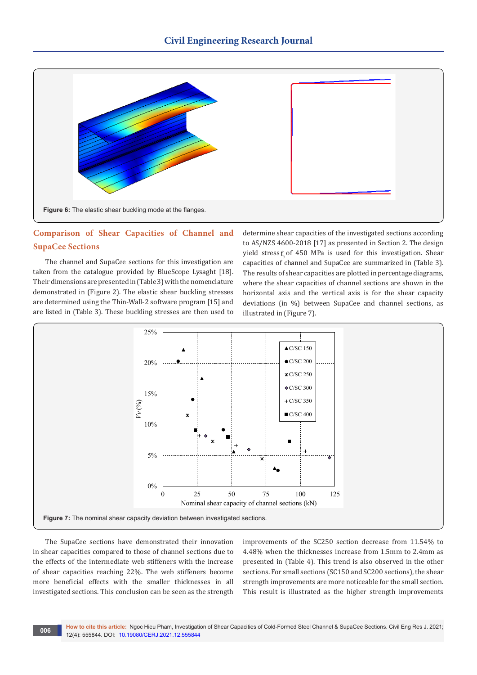

### **Comparison of Shear Capacities of Channel and SupaCee Sections**

The channel and SupaCee sections for this investigation are taken from the catalogue provided by BlueScope Lysaght [18]. Their dimensions are presented in (Table 3) with the nomenclature demonstrated in (Figure 2). The elastic shear buckling stresses are determined using the Thin-Wall-2 software program [15] and are listed in (Table 3). These buckling stresses are then used to

determine shear capacities of the investigated sections according to AS/NZS 4600-2018 [17] as presented in Section 2. The design yield stress  $f$  of 450 MPa is used for this investigation. Shear capacities of channel and SupaCee are summarized in (Table 3). The results of shear capacities are plotted in percentage diagrams, where the shear capacities of channel sections are shown in the horizontal axis and the vertical axis is for the shear capacity deviations (in %) between SupaCee and channel sections, as illustrated in (Figure 7).



The SupaCee sections have demonstrated their innovation in shear capacities compared to those of channel sections due to the effects of the intermediate web stiffeners with the increase of shear capacities reaching 22%. The web stiffeners become more beneficial effects with the smaller thicknesses in all investigated sections. This conclusion can be seen as the strength

improvements of the SC250 section decrease from 11.54% to 4.48% when the thicknesses increase from 1.5mm to 2.4mm as presented in (Table 4). This trend is also observed in the other sections. For small sections (SC150 and SC200 sections), the shear strength improvements are more noticeable for the small section. This result is illustrated as the higher strength improvements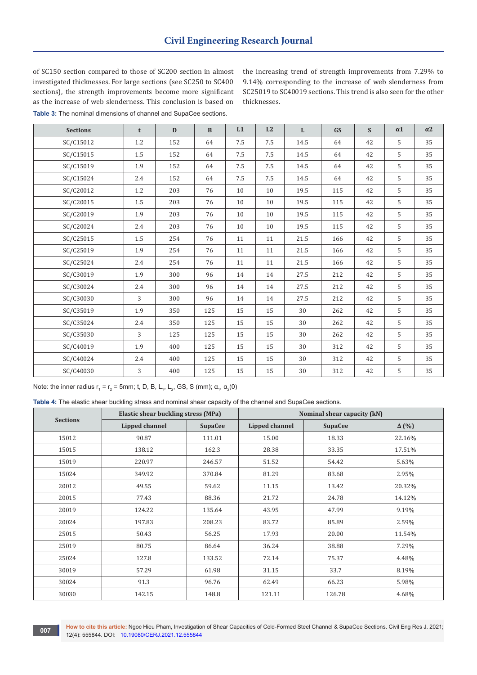of SC150 section compared to those of SC200 section in almost investigated thicknesses. For large sections (see SC250 to SC400 sections), the strength improvements become more significant as the increase of web slenderness. This conclusion is based on **Table 3:** The nominal dimensions of channel and SupaCee sections.

the increasing trend of strength improvements from 7.29% to 9.14% corresponding to the increase of web slenderness from SC25019 to SC40019 sections. This trend is also seen for the other thicknesses.

| <b>Sections</b> | t       | D   | $\mathbf{B}$ | L1  | L2  | $\mathbf{L}$ | <b>GS</b> | S  | $\alpha 1$ | $\alpha$ 2 |
|-----------------|---------|-----|--------------|-----|-----|--------------|-----------|----|------------|------------|
| SC/C15012       | 1.2     | 152 | 64           | 7.5 | 7.5 | 14.5         | 64        | 42 | 5          | 35         |
| SC/C15015       | 1.5     | 152 | 64           | 7.5 | 7.5 | 14.5         | 64        | 42 | 5          | 35         |
| SC/C15019       | 1.9     | 152 | 64           | 7.5 | 7.5 | 14.5         | 64        | 42 | 5          | 35         |
| SC/C15024       | 2.4     | 152 | 64           | 7.5 | 7.5 | 14.5         | 64        | 42 | 5          | 35         |
| SC/C20012       | 1.2     | 203 | 76           | 10  | 10  | 19.5         | 115       | 42 | 5          | 35         |
| SC/C20015       | 1.5     | 203 | 76           | 10  | 10  | 19.5         | 115       | 42 | 5          | 35         |
| SC/C20019       | 1.9     | 203 | 76           | 10  | 10  | 19.5         | 115       | 42 | 5          | 35         |
| SC/C20024       | 2.4     | 203 | 76           | 10  | 10  | 19.5         | 115       | 42 | 5          | 35         |
| SC/C25015       | $1.5\,$ | 254 | 76           | 11  | 11  | 21.5         | 166       | 42 | 5          | 35         |
| SC/C25019       | 1.9     | 254 | 76           | 11  | 11  | 21.5         | 166       | 42 | 5          | 35         |
| SC/C25024       | 2.4     | 254 | 76           | 11  | 11  | 21.5         | 166       | 42 | 5          | 35         |
| SC/C30019       | 1.9     | 300 | 96           | 14  | 14  | 27.5         | 212       | 42 | 5          | 35         |
| SC/C30024       | 2.4     | 300 | 96           | 14  | 14  | 27.5         | 212       | 42 | 5          | 35         |
| SC/C30030       | 3       | 300 | 96           | 14  | 14  | 27.5         | 212       | 42 | 5          | 35         |
| SC/C35019       | 1.9     | 350 | 125          | 15  | 15  | 30           | 262       | 42 | 5          | 35         |
| SC/C35024       | 2.4     | 350 | 125          | 15  | 15  | 30           | 262       | 42 | 5          | 35         |
| SC/C35030       | 3       | 125 | 125          | 15  | 15  | 30           | 262       | 42 | 5          | 35         |
| SC/C40019       | 1.9     | 400 | 125          | 15  | 15  | 30           | 312       | 42 | 5          | 35         |
| SC/C40024       | 2.4     | 400 | 125          | 15  | 15  | 30           | 312       | 42 | 5          | 35         |
| SC/C40030       | 3       | 400 | 125          | 15  | 15  | 30           | 312       | 42 | 5          | 35         |

Note: the inner radius  $r_1 = r_2 = 5$ mm; t, D, B, L<sub>1</sub>, L<sub>2</sub>, GS, S (mm);  $\alpha_1$ ,  $\alpha_2(0)$ 

**Table 4:** The elastic shear buckling stress and nominal shear capacity of the channel and SupaCee sections.

|                 | <b>Elastic shear buckling stress (MPa)</b> |                | Nominal shear capacity (kN) |                |              |  |  |
|-----------------|--------------------------------------------|----------------|-----------------------------|----------------|--------------|--|--|
| <b>Sections</b> | <b>Lipped channel</b>                      | <b>SupaCee</b> | Lipped channel              | <b>SupaCee</b> | $\Delta$ (%) |  |  |
| 15012           | 90.87                                      | 111.01         | 15.00                       | 18.33          | 22.16%       |  |  |
| 15015           | 138.12                                     | 162.3          | 28.38                       | 33.35          | 17.51%       |  |  |
| 15019           | 220.97                                     | 246.57         | 51.52                       | 54.42          | 5.63%        |  |  |
| 15024           | 349.92                                     | 370.84         | 81.29                       | 83.68          | 2.95%        |  |  |
| 20012           | 49.55                                      | 59.62          | 11.15                       | 13.42          | 20.32%       |  |  |
| 20015           | 77.43                                      | 88.36          | 21.72                       | 24.78          | 14.12%       |  |  |
| 20019           | 124.22                                     | 135.64         | 43.95                       | 47.99          | 9.19%        |  |  |
| 20024           | 197.83                                     | 208.23         | 83.72                       | 85.89          | 2.59%        |  |  |
| 25015           | 50.43                                      | 56.25          | 17.93                       | 20.00          | 11.54%       |  |  |
| 25019           | 80.75                                      | 86.64          | 36.24                       | 38.88          | 7.29%        |  |  |
| 25024           | 127.8                                      | 133.52         | 72.14                       | 75.37          | 4.48%        |  |  |
| 30019           | 57.29                                      | 61.98          | 31.15                       | 33.7           | 8.19%        |  |  |
| 30024           | 91.3                                       | 96.76          | 62.49                       | 66.23          | 5.98%        |  |  |
| 30030           | 142.15                                     | 148.8          | 121.11                      | 126.78         | 4.68%        |  |  |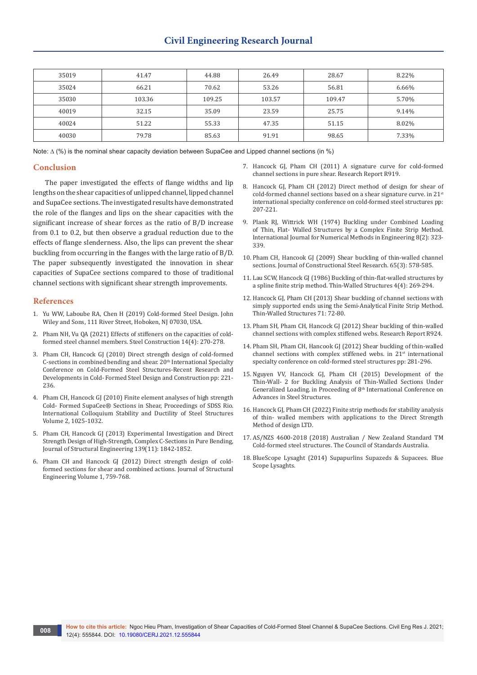| 35019 | 41.47  | 44.88  | 26.49  | 28.67  | 8.22% |
|-------|--------|--------|--------|--------|-------|
| 35024 | 66.21  | 70.62  | 53.26  | 56.81  | 6.66% |
| 35030 | 103.36 | 109.25 | 103.57 | 109.47 | 5.70% |
| 40019 | 32.15  | 35.09  | 23.59  | 25.75  | 9.14% |
| 40024 | 51.22  | 55.33  | 47.35  | 51.15  | 8.02% |
| 40030 | 79.78  | 85.63  | 91.91  | 98.65  | 7.33% |

Note: ∆ (%) is the nominal shear capacity deviation between SupaCee and Lipped channel sections (in %)

#### **Conclusion**

The paper investigated the effects of flange widths and lip lengths on the shear capacities of unlipped channel, lipped channel and SupaCee sections. The investigated results have demonstrated the role of the flanges and lips on the shear capacities with the significant increase of shear forces as the ratio of B/D increase from 0.1 to 0.2, but then observe a gradual reduction due to the 207-221.

effects of flange slenderness. Also, the lips can prevent the shear buckling from occurring in the flanges with the large ratio of B/D. The paper subsequently investigated the innovation in shear capacities of SupaCee sections compared to those of traditional channel sections with significant shear strength improvements.

#### **References**

- 1. Yu WW, Laboube RA, Chen H (2019) Cold-formed Steel Design. John Wiley and Sons, 111 River Street, Hoboken, NJ 07030, USA.
- 2. [Pham NH, Vu QA \(2021\) Effects of stiffeners on the capacities of cold](https://onlinelibrary.wiley.com/doi/abs/10.1002/stco.202100003)[formed steel channel members. Steel Construction 14\(4\): 270-278.](https://onlinelibrary.wiley.com/doi/abs/10.1002/stco.202100003)
- 3. [Pham CH, Hancock GJ \(2010\) Direct strength design of cold-formed](https://ascelibrary.org/doi/abs/10.1061/%28ASCE%29ST.1943-541X.0000510)  C-sections in combined bending and shear.  $20<sup>th</sup>$  International Specialty [Conference on Cold-Formed Steel Structures-Recent Research and](https://ascelibrary.org/doi/abs/10.1061/%28ASCE%29ST.1943-541X.0000510)  [Developments in Cold- Formed Steel Design and Construction pp: 221-](https://ascelibrary.org/doi/abs/10.1061/%28ASCE%29ST.1943-541X.0000510) [236.](https://ascelibrary.org/doi/abs/10.1061/%28ASCE%29ST.1943-541X.0000510)
- 4. Pham CH, Hancock GJ (2010) Finite element analyses of high strength Cold- Formed SupaCee® Sections in Shear, Proceedings of SDSS Rio. International Colloquium Stability and Ductility of Steel Structures Volume 2, 1025-1032.
- 5. [Pham CH, Hancock GJ \(2013\) Experimental Investigation and Direct](https://ascelibrary.org/doi/abs/10.1061/%28ASCE%29ST.1943-541X.0000736)  [Strength Design of High-Strength, Complex C-Sections in Pure Bending,](https://ascelibrary.org/doi/abs/10.1061/%28ASCE%29ST.1943-541X.0000736)  [Journal of Structural Engineering 139\(11\): 1842-1852.](https://ascelibrary.org/doi/abs/10.1061/%28ASCE%29ST.1943-541X.0000736)
- 6. Pham CH and Hancock GJ (2012) Direct strength design of coldformed sections for shear and combined actions. Journal of Structural Engineering Volume 1, 759-768.
- 7. Hancock GJ, Pham CH (2011) A signature curve for cold-formed channel sections in pure shear. Research Report R919.
- 8. Hancock GJ, Pham CH (2012) Direct method of design for shear of cold-formed channel sections based on a shear signature curve. in 21<sup>st</sup> international specialty conference on cold-formed steel structures pp:
- 9. [Plank RJ, Wittrick WH \(1974\) Buckling under Combined Loading](https://onlinelibrary.wiley.com/doi/abs/10.1002/nme.1620080211)  [of Thin, Flat- Walled Structures by a Complex Finite Strip Method.](https://onlinelibrary.wiley.com/doi/abs/10.1002/nme.1620080211)  [International Journal for Numerical Methods in Engineering 8\(2\): 323-](https://onlinelibrary.wiley.com/doi/abs/10.1002/nme.1620080211) [339.](https://onlinelibrary.wiley.com/doi/abs/10.1002/nme.1620080211)
- 10. Pham CH, Hancook GJ (2009) Shear buckling of thin-walled channel sections. Journal of Constructional Steel Research. 65(3): 578-585.
- 11. [Lau SCW, Hancock GJ \(1986\) Buckling of thin-flat-walled structures by](https://www.sciencedirect.com/science/article/abs/pii/0263823186900340)  [a spline finite strip method. Thin-Walled Structures 4\(4\): 269-294.](https://www.sciencedirect.com/science/article/abs/pii/0263823186900340)
- 12. Hancock GJ, Pham CH (2013) Shear buckling of channel sections with simply supported ends using the Semi-Analytical Finite Strip Method. Thin-Walled Structures 71: 72-80.
- 13. Pham SH, Pham CH, Hancock GJ (2012) Shear buckling of thin-walled channel sections with complex stiffened webs. Research Report R924.
- 14. [Pham SH, Pham CH, Hancook GJ \(2012\) Shear buckling of thin-walled](https://scholarsmine.mst.edu/cgi/viewcontent.cgi?article=1838&context=isccss)  [channel sections with complex stiffened webs. in 21](https://scholarsmine.mst.edu/cgi/viewcontent.cgi?article=1838&context=isccss)<sup>st</sup> international [specialty conference on cold-formed steel structures pp: 281-296.](https://scholarsmine.mst.edu/cgi/viewcontent.cgi?article=1838&context=isccss)
- 15. Nguyen VV, Hancock GJ, Pham CH (2015) Development of the Thin-Wall- 2 for Buckling Analysis of Thin-Walled Sections Under Generalized Loading. in Proceeding of 8th International Conference on Advances in Steel Structures.
- 16. Hancock GJ, Pham CH (2022) Finite strip methods for stability analysis of thin- walled members with applications to the Direct Strength Method of design LTD.
- 17. AS/NZS 4600-2018 (2018) Australian / New Zealand Standard TM Cold-formed steel structures. The Council of Standards Australia.
- 18. BlueScope Lysaght (2014) Supapurlins Supazeds & Supacees. Blue Scope Lysaghts.